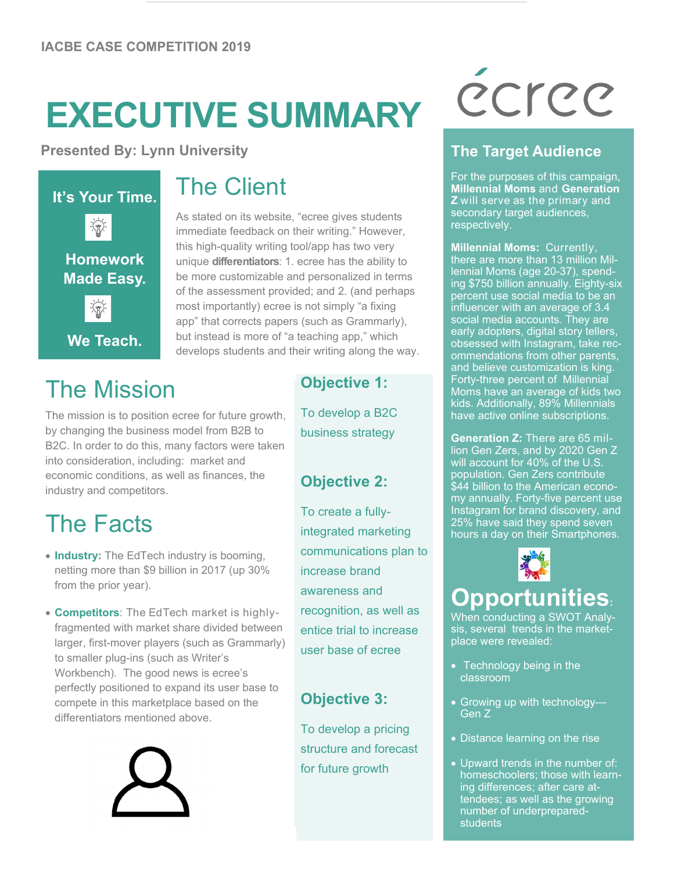## **EXECUTIVE SUMMARY**

**Presented By: Lynn University**



## The Mission

The mission is to position ecree for future growth, by changing the business model from B2B to B2C. In order to do this, many factors were taken into consideration, including: market and economic conditions, as well as finances, the industry and competitors.

## The Facts

- **Industry:** The EdTech industry is booming, netting more than \$9 billion in 2017 (up 30% from the prior year).
- **Competitors**: The EdTech market is highlyfragmented with market share divided between larger, first-mover players (such as Grammarly) to smaller plug-ins (such as Writer's Workbench). The good news is ecree's perfectly positioned to expand its user base to compete in this marketplace based on the differentiators mentioned above.



## The Client

As stated on its website, "ecree gives students immediate feedback on their writing." However, this high-quality writing tool/app has two very unique **differentiators**: 1. ecree has the ability to be more customizable and personalized in terms of the assessment provided; and 2. (and perhaps most importantly) ecree is not simply "a fixing app" that corrects papers (such as Grammarly), but instead is more of "a teaching app," which develops students and their writing along the way.

#### **Objective 1:**

To develop a B2C business strategy

#### **Objective 2:**

To create a fullyintegrated marketing communications plan to increase brand awareness and recognition, as well as entice trial to increase user base of ecree

#### **Objective 3:**

To develop a pricing structure and forecast for future growth

# écree

#### **The Target Audience**

For the purposes of this campaign, **Millennial Moms** and **Generation Z** will serve as the primary and secondary target audiences, respectively.

**Millennial Moms:** Currently, there are more than 13 million Millennial Moms (age 20-37), spending \$750 billion annually. Eighty-six percent use social media to be an influencer with an average of 3.4 social media accounts. They are early adopters, digital story tellers, obsessed with Instagram, take recommendations from other parents, and believe customization is king. Forty-three percent of Millennial Moms have an average of kids two kids. Additionally, 89% Millennials have active online subscriptions.

**Generation Z:** There are 65 million Gen Zers, and by 2020 Gen Z will account for 40% of the U.S. population. Gen Zers contribute \$44 billion to the American economy annually. Forty-five percent use Instagram for brand discovery, and 25% have said they spend seven hours a day on their Smartphones.



## **Opportunities:**

When conducting a SWOT Analysis, several trends in the marketplace were revealed:

- Technology being in the classroom
- Growing up with technology-Gen Z
- Distance learning on the rise
- Upward trends in the number of: homeschoolers; those with learning differences; after care attendees; as well as the growing number of underprepared**students**